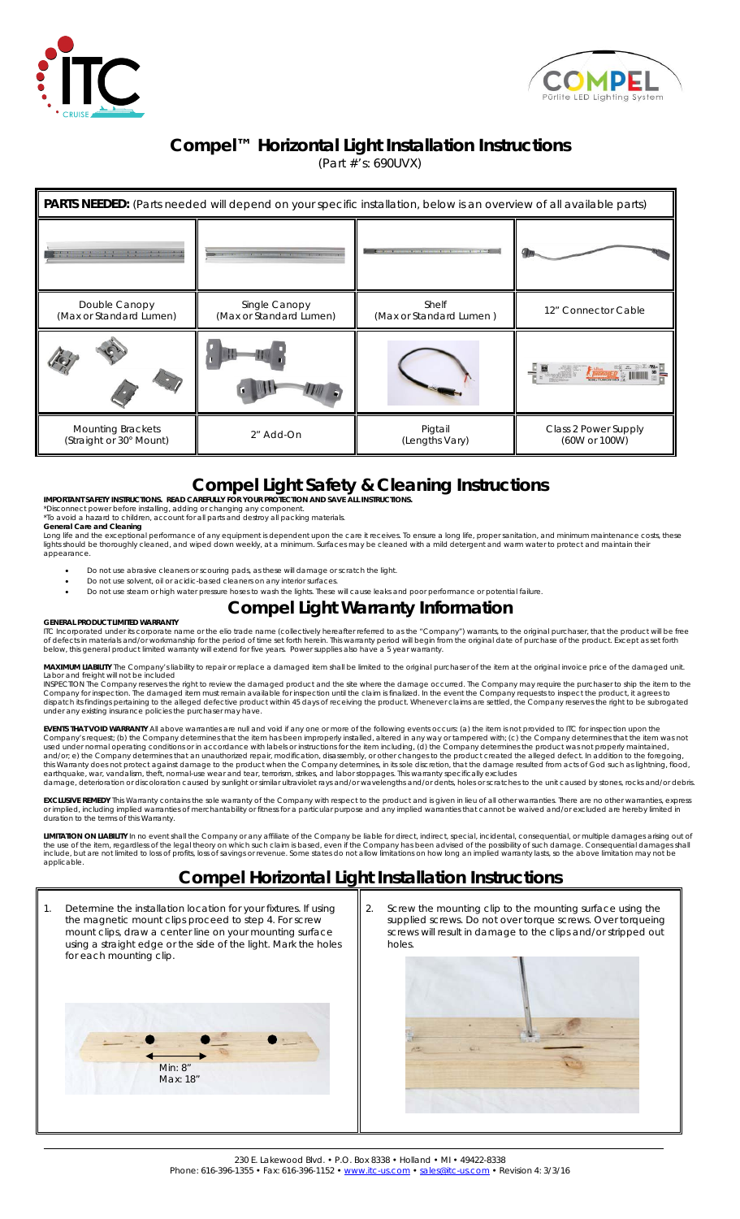



#### **Compel™ Horizontal Light Installation Instructions**

(Part #'s: 690UVX)

| <b>PARTS NEEDED:</b> (Parts needed will depend on your specific installation, below is an overview of all available parts) |                                          |                                            |                                       |
|----------------------------------------------------------------------------------------------------------------------------|------------------------------------------|--------------------------------------------|---------------------------------------|
|                                                                                                                            |                                          | Charles and Contract in the Charles of the |                                       |
| Double Canopy<br>(Max or Standard Lumen)                                                                                   | Single Canopy<br>(Max or Standard Lumen) | Shelf<br>(Max or Standard Lumen)           | 12" Connector Cable                   |
|                                                                                                                            |                                          |                                            | $-\frac{1}{2}$                        |
| <b>Mounting Brackets</b><br>(Straight or 30° Mount)                                                                        | 2" Add-On                                | Pigtail<br>(Lengths Vary)                  | Class 2 Power Supply<br>(60W or 100W) |

# **Compel Light Safety & Cleaning Instructions**

**IMPORTANT SAFETY INSTRUCTIONS. READ CAREFULLY FOR YOUR PROTECTION AND SAVE ALL INSTRUCTIONS.**  \*Disconnect power before installing, adding or changing any component. \*To avoid a hazard to children, account for all parts and destroy all packing materials.

**General Care and Cleaning**<br>Long life and the exceptional performance of any equipment is dependent upon the care it receives. To ensure a long life, proper sanitation, and minimum maintenance costs, these<br>lights should be appearance.

- Do not use abrasive cleaners or scouring pads, as these will damage or scratch the light.
- Do not use solvent, oil or acidic-based cleaners on any interior surfaces.
- Do not use steam or high water pressure hoses to wash the lights. These will cause leaks and poor performance or potential failure.

## **Compel Light Warranty Information**

#### **GENERAL PRODUCT LIMITED WARRANTY**

ITC Incorporated under its corporate name or the elio trade name (collectively hereafter referred to as the "Company") warrants, to the original purchaser, that the product will be free<br>of defects in materials and/or workm

**MAXIMUM LIABILITY** The Company's liability to repair or replace a damaged item shall be limited to the original purchaser of the item at the original invoice price of the damaged unit. Labor and freight will not be included

INSPECTION The Company reserves the right to review the damaged product and the site where the damage occurred. The Company may require the purchaser to ship the item to the company for inspection. The damaged item must re

EVENTS THAT VOID WARRANTY All above warranties are null and void if any one or more of the following events occurs: (a) the item is not provided to ITC for inspection upon the Company sequest;<br>Company's request; (b) the Co

**EXCLUSIVE REMEDY** This Warranty contains the sole warranty of the Company with respect to the product and is given in lieu of all other warranties. There are no other warranties, express<br>or implied, including implied warr duration to the terms of this Warranty.

**LIMITATION ON LIABILITY** In no event shall the Company or any affiliate of the Company be liable for direct, indirect, special, incidental, consequential, or multiple damages arising out of<br>the use of the item, regardless applicable.

### **Compel Horizontal Light Installation Instructions**

Determine the installation location for your fixtures. If using the magnetic mount clips proceed to step 4. For screw mount clips, draw a center line on your mounting surface using a straight edge or the side of the light. Mark the holes for each mounting clip. Screw the mounting clip to the mounting surface using the supplied screws. Do not over torque screws. Over torqueing screws will result in damage to the clips and/or stripped out holes. Min: 8" Max: 18"